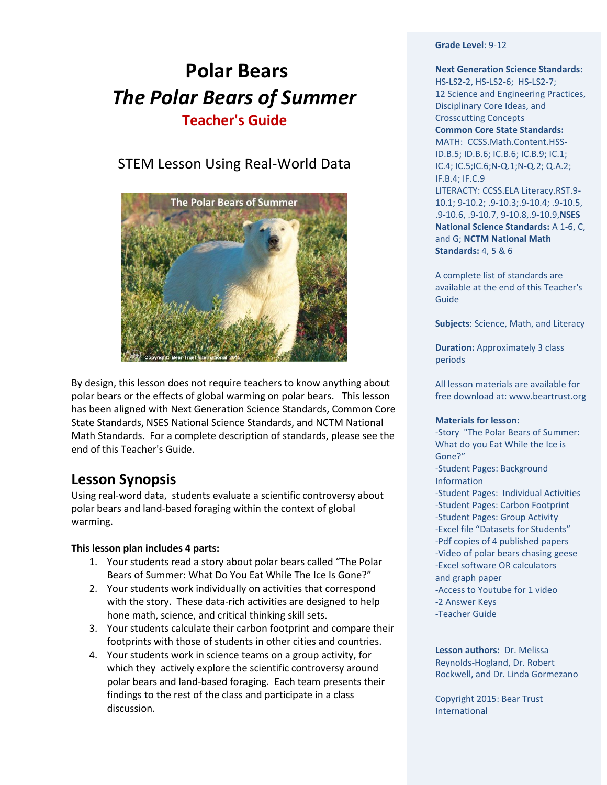# **Polar Bears** *The Polar Bears of Summer* **Teacher's Guide**

# STEM Lesson Using Real-World Data



By design, this lesson does not require teachers to know anything about polar bears or the effects of global warming on polar bears. This lesson has been aligned with Next Generation Science Standards, Common Core State Standards, NSES National Science Standards, and NCTM National Math Standards. For a complete description of standards, please see the end of this Teacher's Guide.

# **Lesson Synopsis**

Using real-word data, students evaluate a scientific controversy about polar bears and land-based foraging within the context of global warming.

### **This lesson plan includes 4 parts:**

- 1. Your students read a story about polar bears called "The Polar Bears of Summer: What Do You Eat While The Ice Is Gone?"
- 2. Your students work individually on activities that correspond with the story. These data-rich activities are designed to help hone math, science, and critical thinking skill sets.
- 3. Your students calculate their carbon footprint and compare their footprints with those of students in other cities and countries.
- 4. Your students work in science teams on a group activity, for which they actively explore the scientific controversy around polar bears and land-based foraging. Each team presents their findings to the rest of the class and participate in a class discussion.

#### **Grade Level**: 9-12

**Next Generation Science Standards:**  HS-LS2-2, HS-LS2-6;HS-LS2-7; 12 Science and Engineering Practices, Disciplinary Core Ideas, and Crosscutting Concepts **Common Core State Standards:**  MATH: [CCSS.Math.Content.HSS-](http://www.corestandards.org/Math/Content/HSS/ID/A/1)[ID.B.5;](http://www.corestandards.org/Math/Content/HSS/ID/B/5) [ID.B.6;](http://www.corestandards.org/Math/Content/HSS/ID/B/6) IC.B.6; IC.B.9; IC.1; IC.4; IC.5;IC.[6;N-Q.1;](http://www.corestandards.org/Math/Content/HSN/Q/A/1)N-Q.2; Q.A.2; IF.B.4; IF.C.9 LITERACTY: [CCSS.ELA Literacy.RST.9-](http://www.corestandards.org/ELA-Literacy/RST/9-10/1/) [10.1;](http://www.corestandards.org/ELA-Literacy/RST/9-10/1/) 9-10.2; .9-10.3;.9-10.4; .9-10.5, .9-10.6, .9-10.7, 9-10.8,.9-10.9,**NSES National Science Standards:** A 1-6, C, and G; **NCTM National Math Standards:** 4, 5 & 6

A complete list of standards are available at the end of this Teacher's Guide

**Subjects**: Science, Math, and Literacy

**Duration: Approximately 3 class** periods

All lesson materials are available for free download at: www.beartrust.org

#### **Materials for lesson:**

-Story "The Polar Bears of Summer: What do you Eat While the Ice is Gone?" -Student Pages: Background Information -Student Pages: Individual Activities -Student Pages: Carbon Footprint -Student Pages: Group Activity -Excel file "Datasets for Students" -Pdf copies of 4 published papers -Video of polar bears chasing geese -Excel software OR calculators and graph paper -Access to Youtube for 1 video -2 Answer Keys -Teacher Guide

**Lesson authors:** Dr. Melissa Reynolds-Hogland, Dr. Robert Rockwell, and Dr. Linda Gormezano

Copyright 2015: Bear Trust International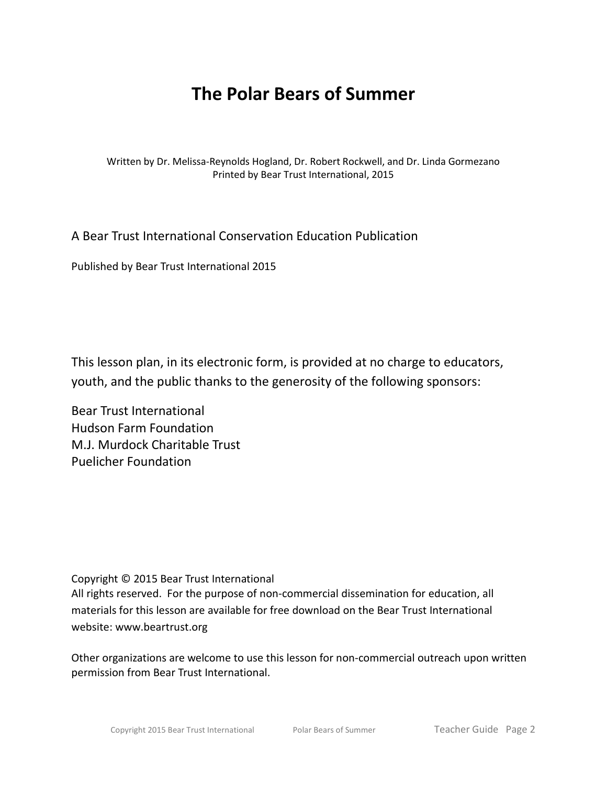# **The Polar Bears of Summer**

Written by Dr. Melissa-Reynolds Hogland, Dr. Robert Rockwell, and Dr. Linda Gormezano Printed by Bear Trust International, 2015

A Bear Trust International Conservation Education Publication

Published by Bear Trust International 2015

This lesson plan, in its electronic form, is provided at no charge to educators, youth, and the public thanks to the generosity of the following sponsors:

Bear Trust International Hudson Farm Foundation M.J. Murdock Charitable Trust Puelicher Foundation

#### Copyright © 2015 Bear Trust International

All rights reserved. For the purpose of non-commercial dissemination for education, all materials for this lesson are available for free download on the Bear Trust International website: [www.beartrust.org](http://www.beartrust.org/)

Other organizations are welcome to use this lesson for non-commercial outreach upon written permission from Bear Trust International.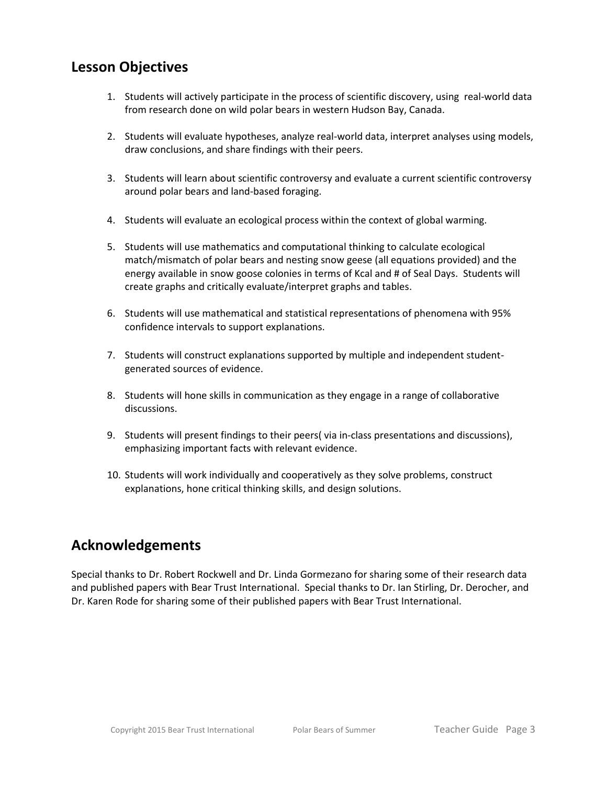### **Lesson Objectives**

- 1. Students will actively participate in the process of scientific discovery, using real-world data from research done on wild polar bears in western Hudson Bay, Canada.
- 2. Students will evaluate hypotheses, analyze real-world data, interpret analyses using models, draw conclusions, and share findings with their peers.
- 3. Students will learn about scientific controversy and evaluate a current scientific controversy around polar bears and land-based foraging.
- 4. Students will evaluate an ecological process within the context of global warming.
- 5. Students will use mathematics and computational thinking to calculate ecological match/mismatch of polar bears and nesting snow geese (all equations provided) and the energy available in snow goose colonies in terms of Kcal and # of Seal Days. Students will create graphs and critically evaluate/interpret graphs and tables.
- 6. Students will use mathematical and statistical representations of phenomena with 95% confidence intervals to support explanations.
- 7. Students will construct explanations supported by multiple and independent studentgenerated sources of evidence.
- 8. Students will hone skills in communication as they engage in a range of collaborative discussions.
- 9. Students will present findings to their peers( via in-class presentations and discussions), emphasizing important facts with relevant evidence.
- 10. Students will work individually and cooperatively as they solve problems, construct explanations, hone critical thinking skills, and design solutions.

## **Acknowledgements**

Special thanks to Dr. Robert Rockwell and Dr. Linda Gormezano for sharing some of their research data and published papers with Bear Trust International. Special thanks to Dr. Ian Stirling, Dr. Derocher, and Dr. Karen Rode for sharing some of their published papers with Bear Trust International.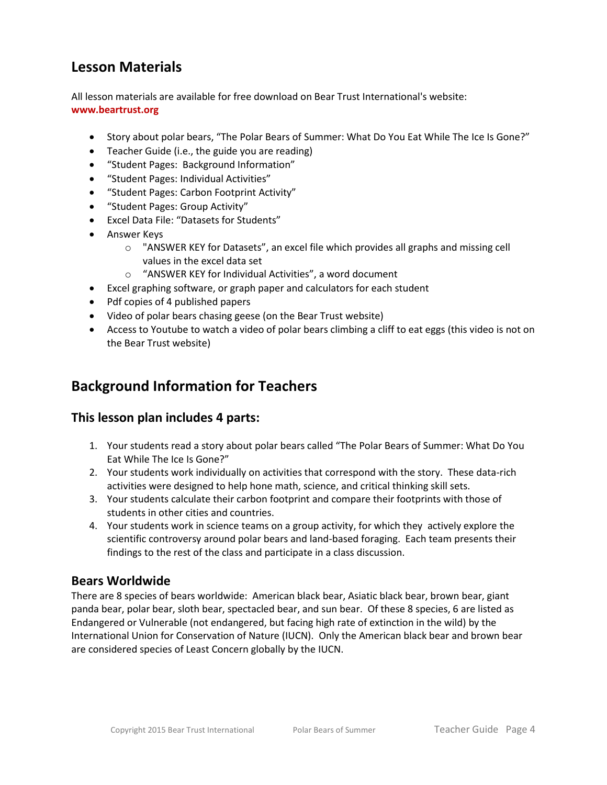# **Lesson Materials**

All lesson materials are available for free download on Bear Trust International's website: **www.beartrust.org**

- Story about polar bears, "The Polar Bears of Summer: What Do You Eat While The Ice Is Gone?"
- Teacher Guide (i.e., the guide you are reading)
- "Student Pages: Background Information"
- "Student Pages: Individual Activities"
- "Student Pages: Carbon Footprint Activity"
- "Student Pages: Group Activity"
- Excel Data File: "Datasets for Students"
- Answer Keys
	- $\circ$  "ANSWER KEY for Datasets", an excel file which provides all graphs and missing cell values in the excel data set
	- o "ANSWER KEY for Individual Activities", a word document
- Excel graphing software, or graph paper and calculators for each student
- Pdf copies of 4 published papers
- Video of polar bears chasing geese (on the Bear Trust website)
- Access to Youtube to watch a video of polar bears climbing a cliff to eat eggs (this video is not on the Bear Trust website)

## **Background Information for Teachers**

### **This lesson plan includes 4 parts:**

- 1. Your students read a story about polar bears called "The Polar Bears of Summer: What Do You Eat While The Ice Is Gone?"
- 2. Your students work individually on activities that correspond with the story. These data-rich activities were designed to help hone math, science, and critical thinking skill sets.
- 3. Your students calculate their carbon footprint and compare their footprints with those of students in other cities and countries.
- 4. Your students work in science teams on a group activity, for which they actively explore the scientific controversy around polar bears and land-based foraging. Each team presents their findings to the rest of the class and participate in a class discussion.

### **Bears Worldwide**

There are 8 species of bears worldwide: American black bear, Asiatic black bear, brown bear, giant panda bear, polar bear, sloth bear, spectacled bear, and sun bear. Of these 8 species, 6 are listed as Endangered or Vulnerable (not endangered, but facing high rate of extinction in the wild) by the International Union for Conservation of Nature (IUCN). Only the American black bear and brown bear are considered species of Least Concern globally by the IUCN.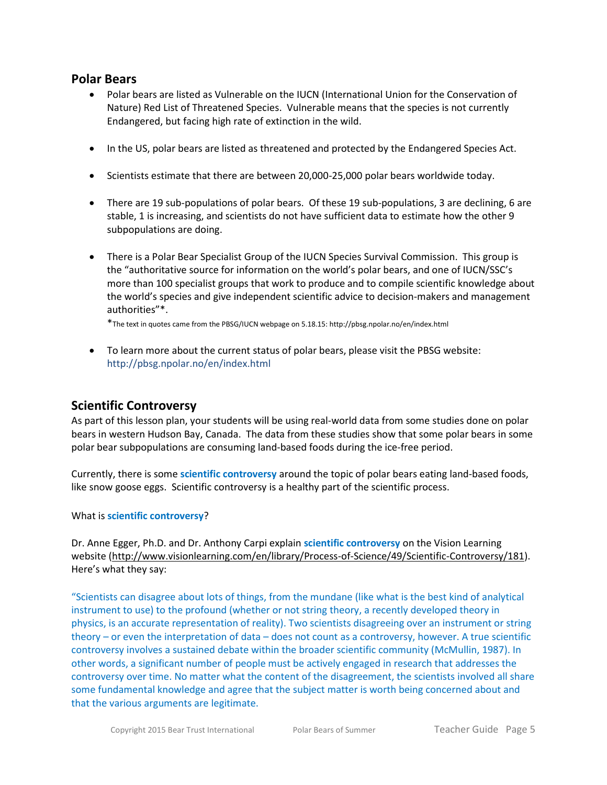### **Polar Bears**

- Polar bears are listed as Vulnerable on the IUCN (International Union for the Conservation of Nature) Red List of Threatened Species. Vulnerable means that the species is not currently Endangered, but facing high rate of extinction in the wild.
- In the US, polar bears are listed as threatened and protected by the Endangered Species Act.
- Scientists estimate that there are between 20,000-25,000 polar bears worldwide today.
- There are 19 sub-populations of polar bears. Of these 19 sub-populations, 3 are declining, 6 are stable, 1 is increasing, and scientists do not have sufficient data to estimate how the other 9 subpopulations are doing.
- There is a Polar Bear Specialist Group of the IUCN Species Survival Commission. This group is the "authoritative source for information on the world's polar bears, and one of IUCN/SSC's more than 100 specialist groups that work to produce and to compile scientific knowledge about the world's species and give independent scientific advice to decision-makers and management authorities"\*.

\*The text in quotes came from the PBSG/IUCN webpage on 5.18.15: http://pbsg.npolar.no/en/index.html

 To learn more about the current status of polar bears, please visit the PBSG website: http://pbsg.npolar.no/en/index.html

### **Scientific Controversy**

As part of this lesson plan, your students will be using real-world data from some studies done on polar bears in western Hudson Bay, Canada. The data from these studies show that some polar bears in some polar bear subpopulations are consuming land-based foods during the ice-free period.

Currently, there is some **scientific controversy** around the topic of polar bears eating land-based foods, like snow goose eggs. Scientific controversy is a healthy part of the scientific process.

#### What is **scientific controversy**?

Dr. Anne Egger, Ph.D. and Dr. Anthony Carpi explain **scientific controversy** on the Vision Learning website [\(http://www.visionlearning.com/en/library/Process-of-Science/49/Scientific-Controversy/181\)](http://www.visionlearning.com/en/library/Process-of-Science/49/Scientific-Controversy/181). Here's what they say:

"Scientists can disagree about lots of things, from the mundane (like what is the best kind of analytical instrument to use) to the profound (whether or not strin[g theory,](http://www.visionlearning.com/en/glossary/view/Theory/pop) a recently developed theory in physics, is an accurate representation of reality). Two scientists disagreeing over an instrument or string theory – or even the interpretation of [data](http://www.visionlearning.com/en/glossary/view/data/pop) – does not count as a controversy, however. A true [scientific](http://www.visionlearning.com/en/glossary/view/Scientific+controversy/pop)  [controversy](http://www.visionlearning.com/en/glossary/view/Scientific+controversy/pop) involves a sustained debate within the broader scientific community [\(McMullin, 1987\)](http://www.visionlearning.com/en/library/Process-of-Science/49/Scientific-Controversy/181#refs). In other words, a significant number of people must be actively engaged in research that addresses the controversy over time. No matter what the content of the disagreement, the scientists involved all share some fundamental knowledge and agree that the subject matter is worth being concerned about and that the various arguments are legitimate.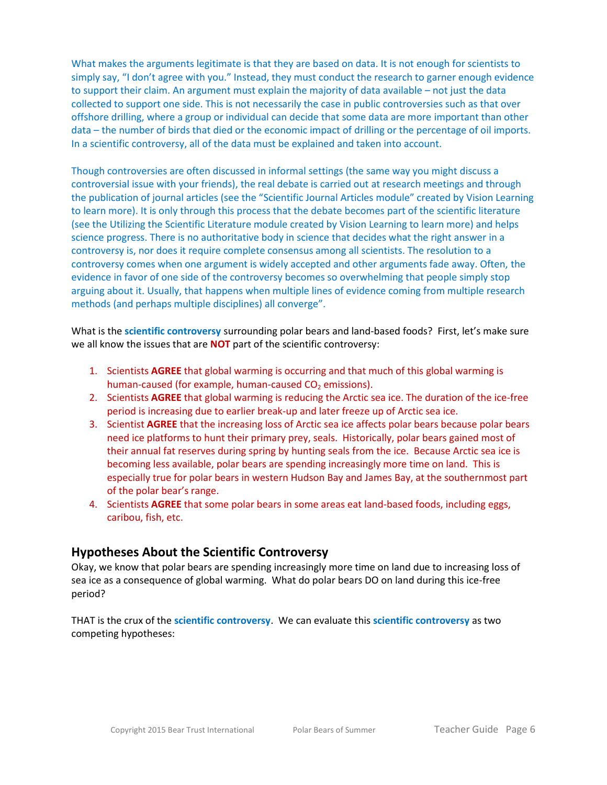What makes the arguments legitimate is that they are based on [data.](http://www.visionlearning.com/en/glossary/view/data/pop) It is not enough for scientists to simply say, "I don't agree with you." Instead, they must conduct the research to garner enough evidence to support their claim. An argument must explain the majority of data available – not just the data collected to support one side. This is not necessarily the case in public controversies such as that over offshore drilling, where a group or individual can decide that some data are more important than other data – the number of birds that died or the economic impact of drilling or the percentage of oil imports. In a [scientific controversy,](http://www.visionlearning.com/en/glossary/view/Scientific+controversy/pop) all of the data must be explained and taken into account.

Though controversies are often discussed in informal settings (the same way you might discuss a controversial issue with your friends), the real debate is carried out at research meetings and through the publication of journal articles (see the "[Scientific Journal Articles](http://www.visionlearning.com/library/module_viewer.php?mid=158&l=) module" created by Vision Learning to learn more). It is only through this process that the debate becomes part of the scientific literature (see th[e Utilizing the Scientific Literature](http://www.visionlearning.com/library/module_viewer.php?mid=173&l=) module created by Vision Learning to learn more) and helps science progress. There is no authoritative body in science that decides what the right answer in a controversy is, nor does it require complete consensus among all scientists. The resolution to a controversy comes when one argument is widely accepted and other arguments fade away. Often, the evidence in favor of one side of the controversy becomes so overwhelming that people simply stop arguing about it. Usually, that happens when multiple lines of evidence coming from multiple research methods (and perhaps multiple disciplines) all converge".

What is the **scientific controversy** surrounding polar bears and land-based foods? First, let's make sure we all know the issues that are **NOT** part of the scientific controversy:

- 1. Scientists **AGREE** that global warming is occurring and that much of this global warming is human-caused (for example, human-caused  $CO<sub>2</sub>$  emissions).
- 2. Scientists **AGREE** that global warming is reducing the Arctic sea ice. The duration of the ice-free period is increasing due to earlier break-up and later freeze up of Arctic sea ice.
- 3. Scientist **AGREE** that the increasing loss of Arctic sea ice affects polar bears because polar bears need ice platforms to hunt their primary prey, seals. Historically, polar bears gained most of their annual fat reserves during spring by hunting seals from the ice. Because Arctic sea ice is becoming less available, polar bears are spending increasingly more time on land. This is especially true for polar bears in western Hudson Bay and James Bay, at the southernmost part of the polar bear's range.
- 4. Scientists **AGREE** that some polar bears in some areas eat land-based foods, including eggs, caribou, fish, etc.

### **Hypotheses About the Scientific Controversy**

Okay, we know that polar bears are spending increasingly more time on land due to increasing loss of sea ice as a consequence of global warming. What do polar bears DO on land during this ice-free period?

THAT is the crux of the **scientific controversy**. We can evaluate this **scientific controversy** as two competing hypotheses: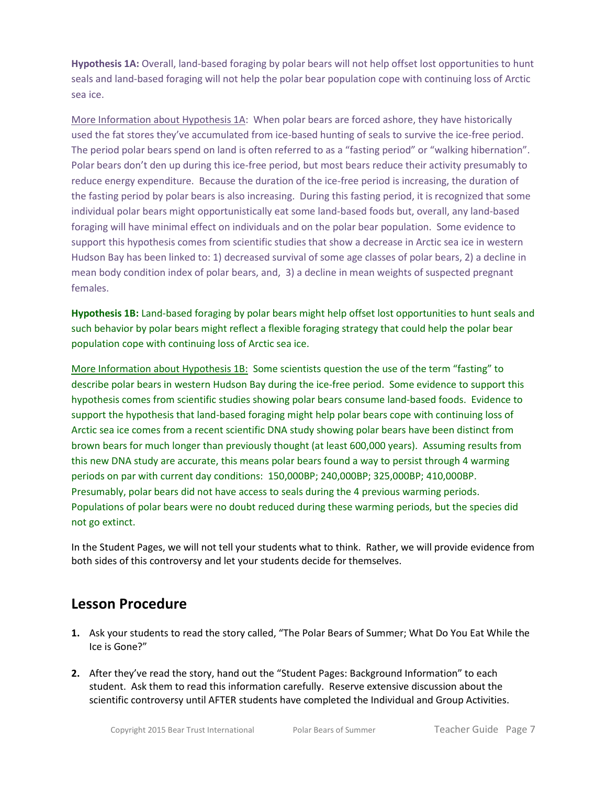**Hypothesis 1A:** Overall, land-based foraging by polar bears will not help offset lost opportunities to hunt seals and land-based foraging will not help the polar bear population cope with continuing loss of Arctic sea ice.

More Information about Hypothesis 1A: When polar bears are forced ashore, they have historically used the fat stores they've accumulated from ice-based hunting of seals to survive the ice-free period. The period polar bears spend on land is often referred to as a "fasting period" or "walking hibernation". Polar bears don't den up during this ice-free period, but most bears reduce their activity presumably to reduce energy expenditure. Because the duration of the ice-free period is increasing, the duration of the fasting period by polar bears is also increasing. During this fasting period, it is recognized that some individual polar bears might opportunistically eat some land-based foods but, overall, any land-based foraging will have minimal effect on individuals and on the polar bear population. Some evidence to support this hypothesis comes from scientific studies that show a decrease in Arctic sea ice in western Hudson Bay has been linked to: 1) decreased survival of some age classes of polar bears, 2) a decline in mean body condition index of polar bears, and, 3) a decline in mean weights of suspected pregnant females.

**Hypothesis 1B:** Land-based foraging by polar bears might help offset lost opportunities to hunt seals and such behavior by polar bears might reflect a flexible foraging strategy that could help the polar bear population cope with continuing loss of Arctic sea ice.

More Information about Hypothesis 1B: Some scientists question the use of the term "fasting" to describe polar bears in western Hudson Bay during the ice-free period. Some evidence to support this hypothesis comes from scientific studies showing polar bears consume land-based foods. Evidence to support the hypothesis that land-based foraging might help polar bears cope with continuing loss of Arctic sea ice comes from a recent scientific DNA study showing polar bears have been distinct from brown bears for much longer than previously thought (at least 600,000 years). Assuming results from this new DNA study are accurate, this means polar bears found a way to persist through 4 warming periods on par with current day conditions: 150,000BP; 240,000BP; 325,000BP; 410,000BP. Presumably, polar bears did not have access to seals during the 4 previous warming periods. Populations of polar bears were no doubt reduced during these warming periods, but the species did not go extinct.

In the Student Pages, we will not tell your students what to think. Rather, we will provide evidence from both sides of this controversy and let your students decide for themselves.

## **Lesson Procedure**

- **1.** Ask your students to read the story called, "The Polar Bears of Summer; What Do You Eat While the Ice is Gone?"
- **2.** After they've read the story, hand out the "Student Pages: Background Information" to each student. Ask them to read this information carefully. Reserve extensive discussion about the scientific controversy until AFTER students have completed the Individual and Group Activities.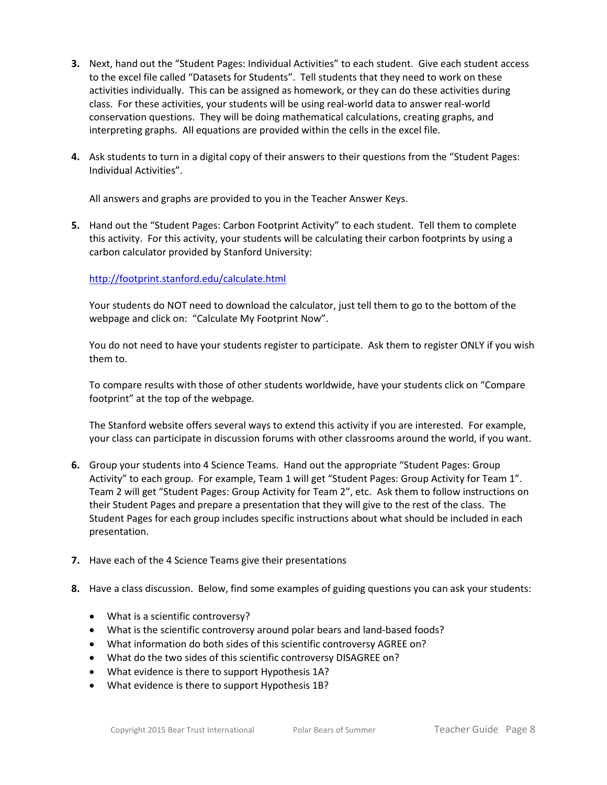- **3.** Next, hand out the "Student Pages: Individual Activities" to each student. Give each student access to the excel file called "Datasets for Students". Tell students that they need to work on these activities individually. This can be assigned as homework, or they can do these activities during class. For these activities, your students will be using real-world data to answer real-world conservation questions. They will be doing mathematical calculations, creating graphs, and interpreting graphs. All equations are provided within the cells in the excel file.
- **4.** Ask students to turn in a digital copy of their answers to their questions from the "Student Pages: Individual Activities".

All answers and graphs are provided to you in the Teacher Answer Keys.

**5.** Hand out the "Student Pages: Carbon Footprint Activity" to each student. Tell them to complete this activity. For this activity, your students will be calculating their carbon footprints by using a carbon calculator provided by Stanford University:

#### <http://footprint.stanford.edu/calculate.html>

Your students do NOT need to download the calculator, just tell them to go to the bottom of the webpage and click on: "Calculate My Footprint Now".

You do not need to have your students register to participate. Ask them to register ONLY if you wish them to.

To compare results with those of other students worldwide, have your students click on "Compare footprint" at the top of the webpage.

The Stanford website offers several ways to extend this activity if you are interested. For example, your class can participate in discussion forums with other classrooms around the world, if you want.

- **6.** Group your students into 4 Science Teams. Hand out the appropriate "Student Pages: Group Activity" to each group. For example, Team 1 will get "Student Pages: Group Activity for Team 1". Team 2 will get "Student Pages: Group Activity for Team 2", etc. Ask them to follow instructions on their Student Pages and prepare a presentation that they will give to the rest of the class. The Student Pages for each group includes specific instructions about what should be included in each presentation.
- **7.** Have each of the 4 Science Teams give their presentations
- **8.** Have a class discussion. Below, find some examples of guiding questions you can ask your students:
	- What is a scientific controversy?
	- What is the scientific controversy around polar bears and land-based foods?
	- What information do both sides of this scientific controversy AGREE on?
	- What do the two sides of this scientific controversy DISAGREE on?
	- What evidence is there to support Hypothesis 1A?
	- What evidence is there to support Hypothesis 1B?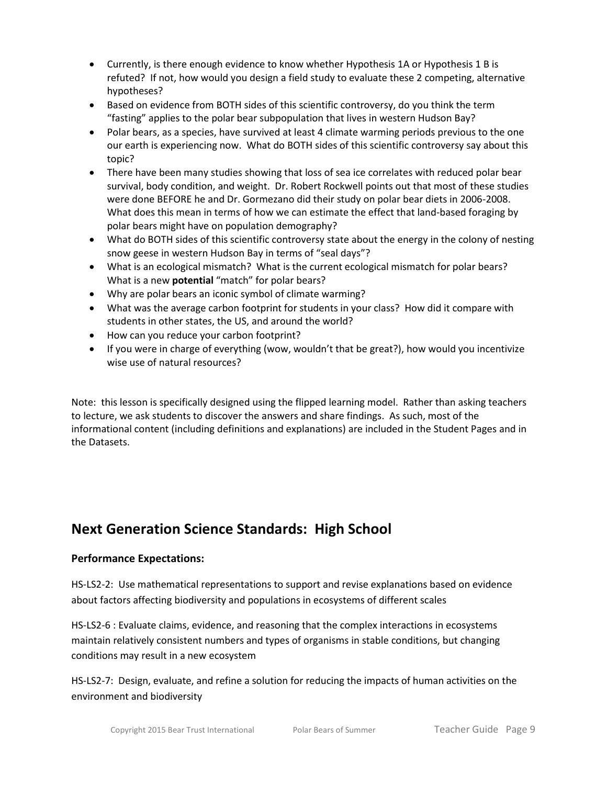- Currently, is there enough evidence to know whether Hypothesis 1A or Hypothesis 1 B is refuted? If not, how would you design a field study to evaluate these 2 competing, alternative hypotheses?
- Based on evidence from BOTH sides of this scientific controversy, do you think the term "fasting" applies to the polar bear subpopulation that lives in western Hudson Bay?
- Polar bears, as a species, have survived at least 4 climate warming periods previous to the one our earth is experiencing now. What do BOTH sides of this scientific controversy say about this topic?
- There have been many studies showing that loss of sea ice correlates with reduced polar bear survival, body condition, and weight. Dr. Robert Rockwell points out that most of these studies were done BEFORE he and Dr. Gormezano did their study on polar bear diets in 2006-2008. What does this mean in terms of how we can estimate the effect that land-based foraging by polar bears might have on population demography?
- What do BOTH sides of this scientific controversy state about the energy in the colony of nesting snow geese in western Hudson Bay in terms of "seal days"?
- What is an ecological mismatch? What is the current ecological mismatch for polar bears? What is a new **potential** "match" for polar bears?
- Why are polar bears an iconic symbol of climate warming?
- What was the average carbon footprint for students in your class? How did it compare with students in other states, the US, and around the world?
- How can you reduce your carbon footprint?
- If you were in charge of everything (wow, wouldn't that be great?), how would you incentivize wise use of natural resources?

Note: this lesson is specifically designed using the flipped learning model. Rather than asking teachers to lecture, we ask students to discover the answers and share findings. As such, most of the informational content (including definitions and explanations) are included in the Student Pages and in the Datasets.

# **Next Generation Science Standards: High School**

### **Performance Expectations:**

HS-LS2-2: Use mathematical representations to support and revise explanations based on evidence about factors affecting biodiversity and populations in ecosystems of different scales

HS-LS2-6 : Evaluate claims, evidence, and reasoning that the complex interactions in ecosystems maintain relatively consistent numbers and types of organisms in stable conditions, but changing conditions may result in a new ecosystem

HS-LS2-7: Design, evaluate, and refine a solution for reducing the impacts of human activities on the environment and biodiversity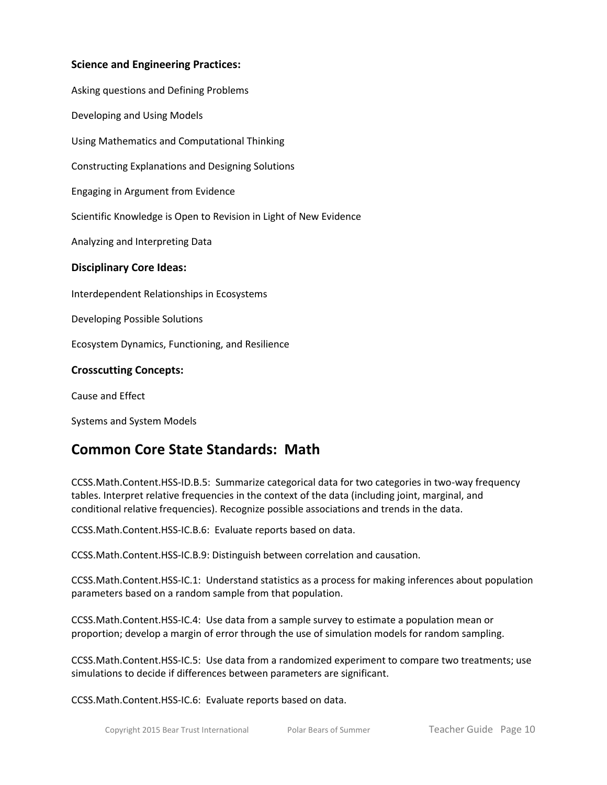### **Science and Engineering Practices:**

Asking questions and Defining Problems

Developing and Using Models

Using Mathematics and Computational Thinking

Constructing Explanations and Designing Solutions

Engaging in Argument from Evidence

Scientific Knowledge is Open to Revision in Light of New Evidence

Analyzing and Interpreting Data

#### **Disciplinary Core Ideas:**

Interdependent Relationships in Ecosystems

Developing Possible Solutions

Ecosystem Dynamics, Functioning, and Resilience

#### **Crosscutting Concepts:**

Cause and Effect

Systems and System Models

## **Common Core State Standards: Math**

[CCSS.Math.Content.HSS-ID.B.5:](http://www.corestandards.org/Math/Content/HSS/ID/B/5) Summarize categorical data for two categories in two-way frequency tables. Interpret relative frequencies in the context of the data (including joint, marginal, and conditional relative frequencies). Recognize possible associations and trends in the data.

[CCSS.Math.Content.HSS-IC.B.6:](http://www.corestandards.org/Math/Content/HSS/IC/B/6) Evaluate reports based on data.

[CCSS.Math.Content.HSS-IC.B.9:](http://www.corestandards.org/Math/Content/HSS/IC/B/6) Distinguish between correlation and causation.

CCSS.Math.Content.HSS-IC.1: Understand statistics as a process for making inferences about population parameters based on a random sample from that population.

CCSS.Math.Content.HSS-IC.4: Use data from a sample survey to estimate a population mean or proportion; develop a margin of error through the use of simulation models for random sampling.

CCSS.Math.Content.HSS-IC.5: Use data from a randomized experiment to compare two treatments; use simulations to decide if differences between parameters are significant.

CCSS.Math.Content.HSS-IC.6: Evaluate reports based on data.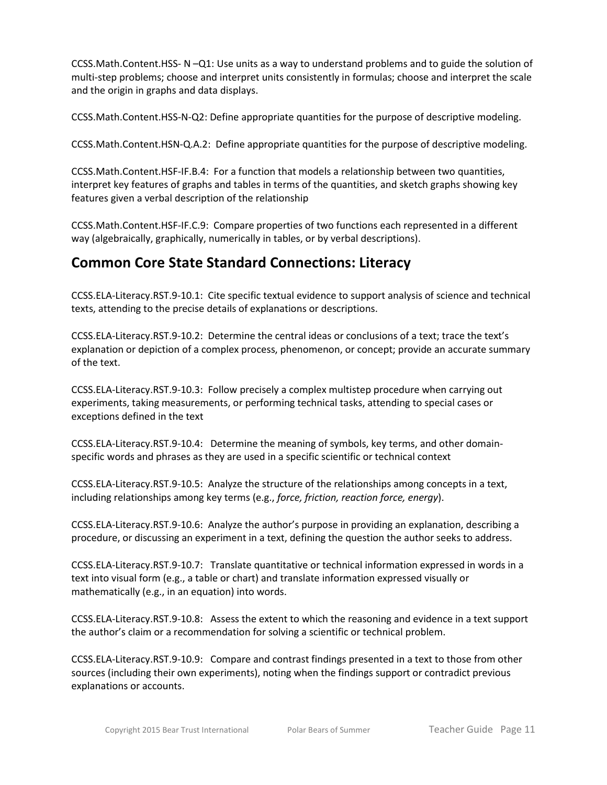CCSS.Math.Content.HSS- N –Q1: Use units as a way to understand problems and to guide the solution of multi-step problems; choose and interpret units consistently in formulas; choose and interpret the scale and the origin in graphs and data displays.

CCSS.Math.Content.HSS-N-Q2: Define appropriate quantities for the purpose of descriptive modeling.

[CCSS.Math.Content.HSN-Q.A.2:](http://www.corestandards.org/Math/Content/HSN/Q/A/2) Define appropriate quantities for the purpose of descriptive modeling.

[CCSS.Math.Content.HSF-IF.B.4:](http://www.corestandards.org/Math/Content/HSF/IF/B/4) For a function that models a relationship between two quantities, interpret key features of graphs and tables in terms of the quantities, and sketch graphs showing key features given a verbal description of the relationship

[CCSS.Math.Content.HSF-IF.C.9:](http://www.corestandards.org/Math/Content/HSF/IF/C/9) Compare properties of two functions each represented in a different way (algebraically, graphically, numerically in tables, or by verbal descriptions).

## **Common Core State Standard Connections: Literacy**

[CCSS.ELA-Literacy.RST.9-10.1:](http://www.corestandards.org/ELA-Literacy/RST/9-10/1/) Cite specific textual evidence to support analysis of science and technical texts, attending to the precise details of explanations or descriptions.

[CCSS.ELA-Literacy.RST.9-10.2:](http://www.corestandards.org/ELA-Literacy/RST/9-10/2/) Determine the central ideas or conclusions of a text; trace the text's explanation or depiction of a complex process, phenomenon, or concept; provide an accurate summary of the text.

[CCSS.ELA-Literacy.RST.9-10.3:](http://www.corestandards.org/ELA-Literacy/RST/9-10/3/) Follow precisely a complex multistep procedure when carrying out experiments, taking measurements, or performing technical tasks, attending to special cases or exceptions defined in the text

[CCSS.ELA-Literacy.RST.9-10.4:](http://www.corestandards.org/ELA-Literacy/RST/9-10/4/) Determine the meaning of symbols, key terms, and other domainspecific words and phrases as they are used in a specific scientific or technical context

[CCSS.ELA-Literacy.RST.9-10.5:](http://www.corestandards.org/ELA-Literacy/RST/9-10/5/) Analyze the structure of the relationships among concepts in a text, including relationships among key terms (e.g., *force, friction, reaction force, energy*).

[CCSS.ELA-Literacy.RST.9-10.6:](http://www.corestandards.org/ELA-Literacy/RST/9-10/6/) Analyze the author's purpose in providing an explanation, describing a procedure, or discussing an experiment in a text, defining the question the author seeks to address.

[CCSS.ELA-Literacy.RST.9-10.7:](http://www.corestandards.org/ELA-Literacy/RST/9-10/7/) Translate quantitative or technical information expressed in words in a text into visual form (e.g., a table or chart) and translate information expressed visually or mathematically (e.g., in an equation) into words.

[CCSS.ELA-Literacy.RST.9-10.8:](http://www.corestandards.org/ELA-Literacy/RST/9-10/8/) Assess the extent to which the reasoning and evidence in a text support the author's claim or a recommendation for solving a scientific or technical problem.

[CCSS.ELA-Literacy.RST.9-10.9:](http://www.corestandards.org/ELA-Literacy/RST/9-10/9/) Compare and contrast findings presented in a text to those from other sources (including their own experiments), noting when the findings support or contradict previous explanations or accounts.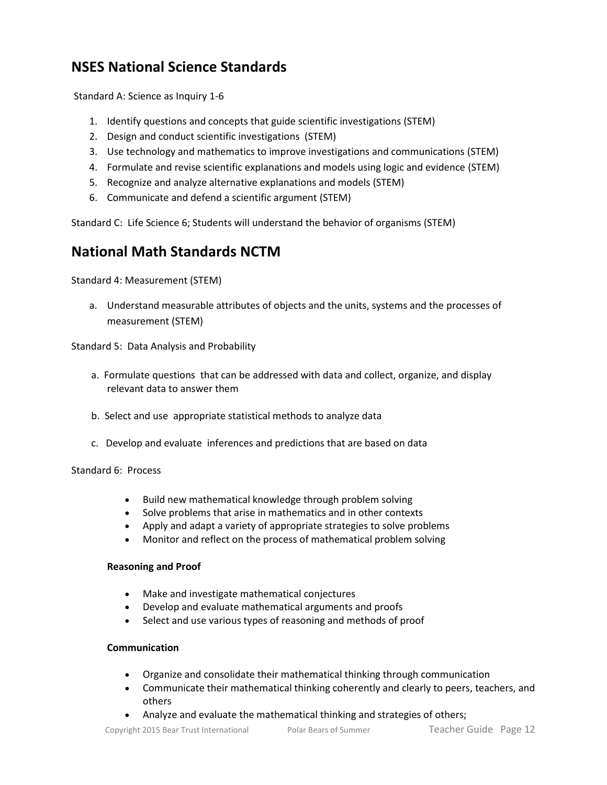# **NSES National Science Standards**

Standard A: Science as Inquiry 1-6

- 1. Identify questions and concepts that guide scientific investigations (STEM)
- 2. Design and conduct scientific investigations (STEM)
- 3. Use technology and mathematics to improve investigations and communications (STEM)
- 4. Formulate and revise scientific explanations and models using logic and evidence (STEM)
- 5. Recognize and analyze alternative explanations and models (STEM)
- 6. Communicate and defend a scientific argument (STEM)

Standard C: Life Science 6; Students will understand the behavior of organisms (STEM)

# **National Math Standards NCTM**

Standard 4: Measurement (STEM)

a. Understand measurable attributes of objects and the units, systems and the processes of measurement (STEM)

Standard 5: Data Analysis and Probability

- a. [Formulate questions](http://www.nctm.org/standards/content.aspx?id=318#formulate) that can be addressed with data and collect, organize, and display relevant data to answer them
- b. [Select and use](http://www.nctm.org/standards/content.aspx?id=318#select) appropriate statistical methods to analyze data
- c. [Develop and evaluate](http://www.nctm.org/standards/content.aspx?id=318#develop) inferences and predictions that are based on data

Standard 6: Process

- Build new mathematical knowledge through problem solving
- Solve problems that arise in mathematics and in other contexts
- Apply and adapt a variety of appropriate strategies to solve problems
- Monitor and reflect on the process of mathematical problem solving

#### **Reasoning and Proof**

- Make and investigate mathematical conjectures
- Develop and evaluate mathematical arguments and proofs
- Select and use various types of reasoning and methods of proof

#### **Communication**

- Organize and consolidate their mathematical thinking through communication
- Communicate their mathematical thinking coherently and clearly to peers, teachers, and others
- Analyze and evaluate the mathematical thinking and strategies of others;